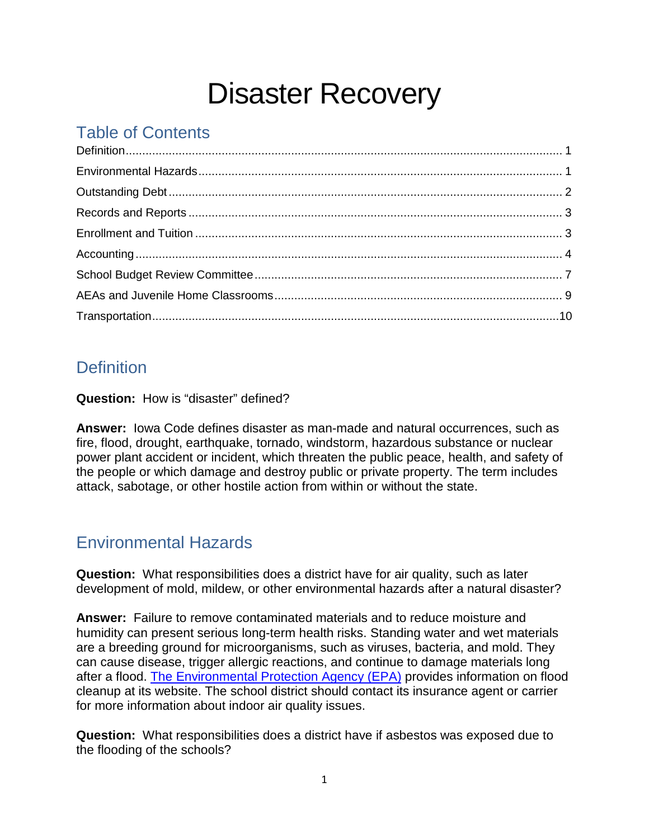# Disaster Recovery

# Table of Contents

# <span id="page-0-0"></span>**Definition**

**Question:** How is "disaster" defined?

**Answer:** Iowa Code defines disaster as man-made and natural occurrences, such as fire, flood, drought, earthquake, tornado, windstorm, hazardous substance or nuclear power plant accident or incident, which threaten the public peace, health, and safety of the people or which damage and destroy public or private property. The term includes attack, sabotage, or other hostile action from within or without the state.

# <span id="page-0-1"></span>Environmental Hazards

**Question:** What responsibilities does a district have for air quality, such as later development of mold, mildew, or other environmental hazards after a natural disaster?

**Answer:** Failure to remove contaminated materials and to reduce moisture and humidity can present serious long-term health risks. Standing water and wet materials are a breeding ground for microorganisms, such as viruses, bacteria, and mold. They can cause disease, trigger allergic reactions, and continue to damage materials long after a flood. [The Environmental Protection Agency \(EPA\)](http://www.epa.gov/iaq/flood/index.html) provides information on flood cleanup at its website. The school district should contact its insurance agent or carrier for more information about indoor air quality issues.

**Question:** What responsibilities does a district have if asbestos was exposed due to the flooding of the schools?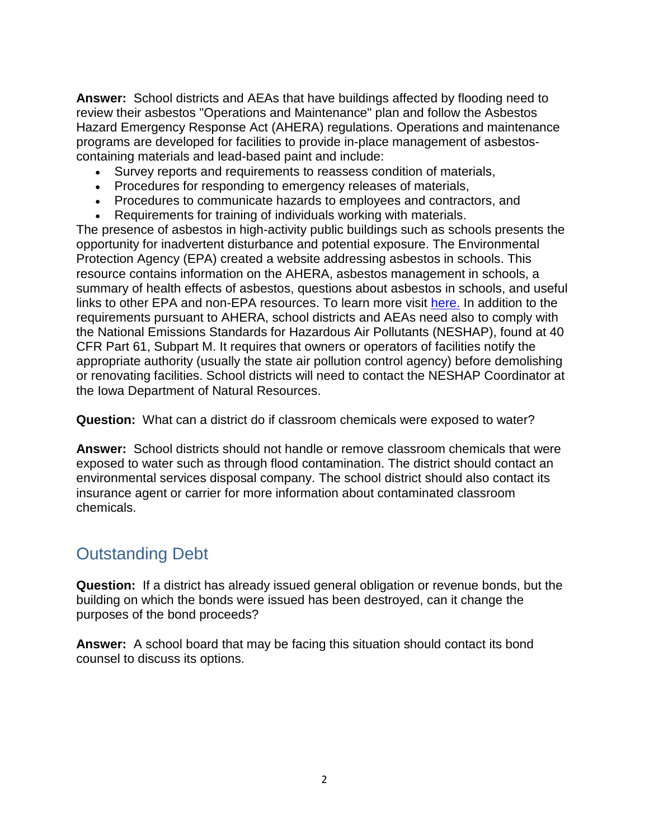**Answer:** School districts and AEAs that have buildings affected by flooding need to review their asbestos "Operations and Maintenance" plan and follow the Asbestos Hazard Emergency Response Act (AHERA) regulations. Operations and maintenance programs are developed for facilities to provide in-place management of asbestoscontaining materials and lead-based paint and include:

- Survey reports and requirements to reassess condition of materials,
- Procedures for responding to emergency releases of materials,
- Procedures to communicate hazards to employees and contractors, and
- Requirements for training of individuals working with materials.

The presence of asbestos in high-activity public buildings such as schools presents the opportunity for inadvertent disturbance and potential exposure. The Environmental Protection Agency (EPA) created a website addressing asbestos in schools. This resource contains information on the AHERA, asbestos management in schools, a summary of health effects of asbestos, questions about asbestos in schools, and useful links to other EPA and non-EPA resources. To learn more visit [here.](http://www2.epa.gov/asbestos/school-buildings%23requirements) In addition to the requirements pursuant to AHERA, school districts and AEAs need also to comply with the National Emissions Standards for Hazardous Air Pollutants (NESHAP), found at 40 CFR Part 61, Subpart M. It requires that owners or operators of facilities notify the appropriate authority (usually the state air pollution control agency) before demolishing or renovating facilities. School districts will need to contact the NESHAP Coordinator at the Iowa Department of Natural Resources.

**Question:** What can a district do if classroom chemicals were exposed to water?

**Answer:** School districts should not handle or remove classroom chemicals that were exposed to water such as through flood contamination. The district should contact an environmental services disposal company. The school district should also contact its insurance agent or carrier for more information about contaminated classroom chemicals.

#### <span id="page-1-0"></span>Outstanding Debt

**Question:** If a district has already issued general obligation or revenue bonds, but the building on which the bonds were issued has been destroyed, can it change the purposes of the bond proceeds?

<span id="page-1-1"></span>**Answer:** A school board that may be facing this situation should contact its bond counsel to discuss its options.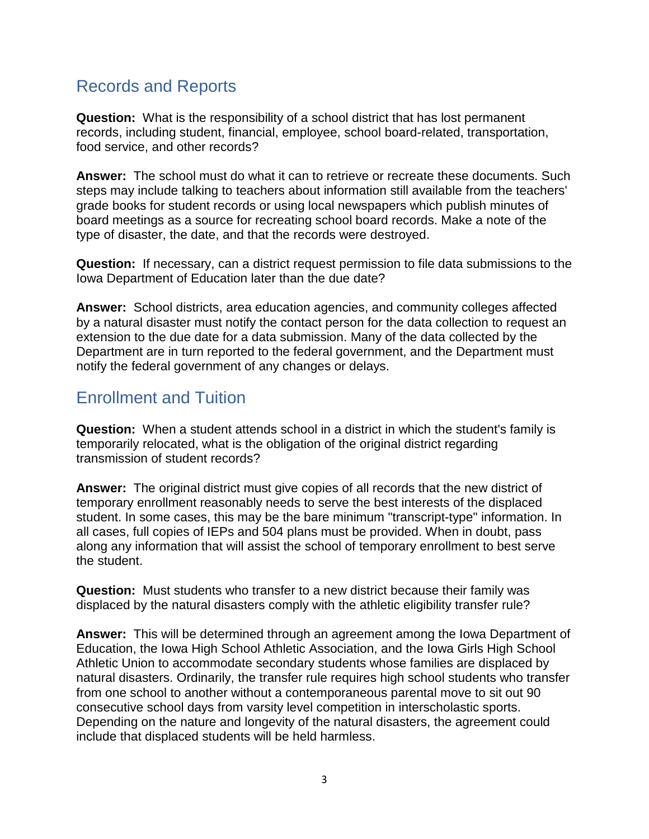#### Records and Reports

**Question:** What is the responsibility of a school district that has lost permanent records, including student, financial, employee, school board-related, transportation, food service, and other records?

**Answer:** The school must do what it can to retrieve or recreate these documents. Such steps may include talking to teachers about information still available from the teachers' grade books for student records or using local newspapers which publish minutes of board meetings as a source for recreating school board records. Make a note of the type of disaster, the date, and that the records were destroyed.

**Question:** If necessary, can a district request permission to file data submissions to the Iowa Department of Education later than the due date?

**Answer:** School districts, area education agencies, and community colleges affected by a natural disaster must notify the contact person for the data collection to request an extension to the due date for a data submission. Many of the data collected by the Department are in turn reported to the federal government, and the Department must notify the federal government of any changes or delays.

#### <span id="page-2-0"></span>Enrollment and Tuition

**Question:** When a student attends school in a district in which the student's family is temporarily relocated, what is the obligation of the original district regarding transmission of student records?

**Answer:** The original district must give copies of all records that the new district of temporary enrollment reasonably needs to serve the best interests of the displaced student. In some cases, this may be the bare minimum "transcript-type" information. In all cases, full copies of IEPs and 504 plans must be provided. When in doubt, pass along any information that will assist the school of temporary enrollment to best serve the student.

**Question:** Must students who transfer to a new district because their family was displaced by the natural disasters comply with the athletic eligibility transfer rule?

**Answer:** This will be determined through an agreement among the Iowa Department of Education, the Iowa High School Athletic Association, and the Iowa Girls High School Athletic Union to accommodate secondary students whose families are displaced by natural disasters. Ordinarily, the transfer rule requires high school students who transfer from one school to another without a contemporaneous parental move to sit out 90 consecutive school days from varsity level competition in interscholastic sports. Depending on the nature and longevity of the natural disasters, the agreement could include that displaced students will be held harmless.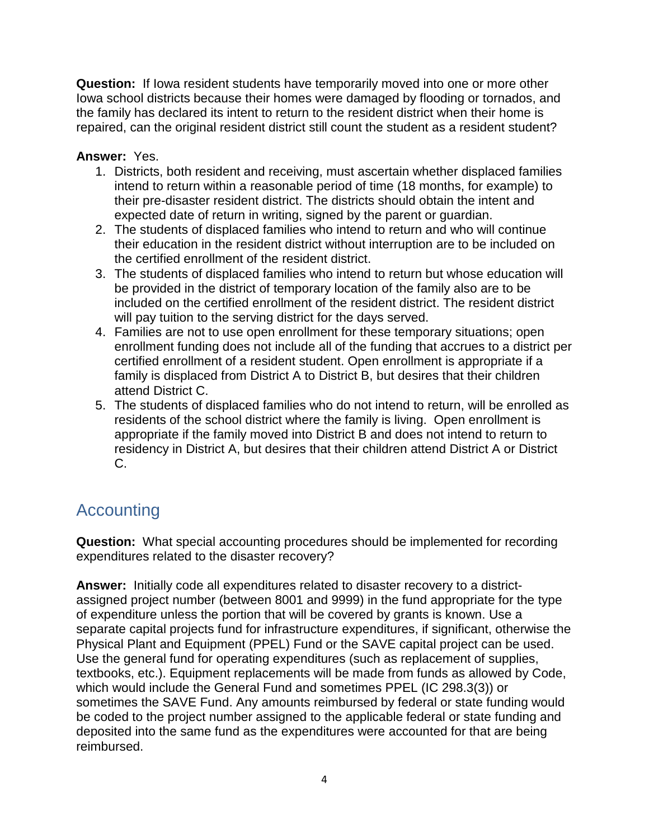**Question:** If Iowa resident students have temporarily moved into one or more other Iowa school districts because their homes were damaged by flooding or tornados, and the family has declared its intent to return to the resident district when their home is repaired, can the original resident district still count the student as a resident student?

#### **Answer:** Yes.

- 1. Districts, both resident and receiving, must ascertain whether displaced families intend to return within a reasonable period of time (18 months, for example) to their pre-disaster resident district. The districts should obtain the intent and expected date of return in writing, signed by the parent or guardian.
- 2. The students of displaced families who intend to return and who will continue their education in the resident district without interruption are to be included on the certified enrollment of the resident district.
- 3. The students of displaced families who intend to return but whose education will be provided in the district of temporary location of the family also are to be included on the certified enrollment of the resident district. The resident district will pay tuition to the serving district for the days served.
- 4. Families are not to use open enrollment for these temporary situations; open enrollment funding does not include all of the funding that accrues to a district per certified enrollment of a resident student. Open enrollment is appropriate if a family is displaced from District A to District B, but desires that their children attend District C.
- 5. The students of displaced families who do not intend to return, will be enrolled as residents of the school district where the family is living. Open enrollment is appropriate if the family moved into District B and does not intend to return to residency in District A, but desires that their children attend District A or District C.

# <span id="page-3-0"></span>Accounting

**Question:** What special accounting procedures should be implemented for recording expenditures related to the disaster recovery?

**Answer:** Initially code all expenditures related to disaster recovery to a districtassigned project number (between 8001 and 9999) in the fund appropriate for the type of expenditure unless the portion that will be covered by grants is known. Use a separate capital projects fund for infrastructure expenditures, if significant, otherwise the Physical Plant and Equipment (PPEL) Fund or the SAVE capital project can be used. Use the general fund for operating expenditures (such as replacement of supplies, textbooks, etc.). Equipment replacements will be made from funds as allowed by Code, which would include the General Fund and sometimes PPEL (IC 298.3(3)) or sometimes the SAVE Fund. Any amounts reimbursed by federal or state funding would be coded to the project number assigned to the applicable federal or state funding and deposited into the same fund as the expenditures were accounted for that are being reimbursed.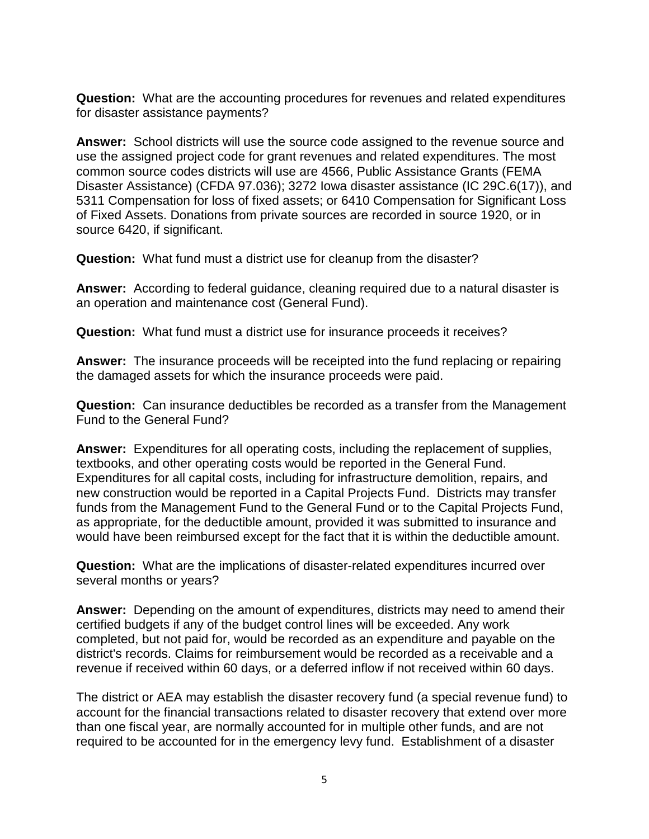**Question:** What are the accounting procedures for revenues and related expenditures for disaster assistance payments?

**Answer:** School districts will use the source code assigned to the revenue source and use the assigned project code for grant revenues and related expenditures. The most common source codes districts will use are 4566, Public Assistance Grants (FEMA Disaster Assistance) (CFDA 97.036); 3272 Iowa disaster assistance (IC 29C.6(17)), and 5311 Compensation for loss of fixed assets; or 6410 Compensation for Significant Loss of Fixed Assets. Donations from private sources are recorded in source 1920, or in source 6420, if significant.

**Question:** What fund must a district use for cleanup from the disaster?

**Answer:** According to federal guidance, cleaning required due to a natural disaster is an operation and maintenance cost (General Fund).

**Question:** What fund must a district use for insurance proceeds it receives?

**Answer:** The insurance proceeds will be receipted into the fund replacing or repairing the damaged assets for which the insurance proceeds were paid.

**Question:** Can insurance deductibles be recorded as a transfer from the Management Fund to the General Fund?

**Answer:** Expenditures for all operating costs, including the replacement of supplies, textbooks, and other operating costs would be reported in the General Fund. Expenditures for all capital costs, including for infrastructure demolition, repairs, and new construction would be reported in a Capital Projects Fund. Districts may transfer funds from the Management Fund to the General Fund or to the Capital Projects Fund, as appropriate, for the deductible amount, provided it was submitted to insurance and would have been reimbursed except for the fact that it is within the deductible amount.

**Question:** What are the implications of disaster-related expenditures incurred over several months or years?

**Answer:** Depending on the amount of expenditures, districts may need to amend their certified budgets if any of the budget control lines will be exceeded. Any work completed, but not paid for, would be recorded as an expenditure and payable on the district's records. Claims for reimbursement would be recorded as a receivable and a revenue if received within 60 days, or a deferred inflow if not received within 60 days.

The district or AEA may establish the disaster recovery fund (a special revenue fund) to account for the financial transactions related to disaster recovery that extend over more than one fiscal year, are normally accounted for in multiple other funds, and are not required to be accounted for in the emergency levy fund. Establishment of a disaster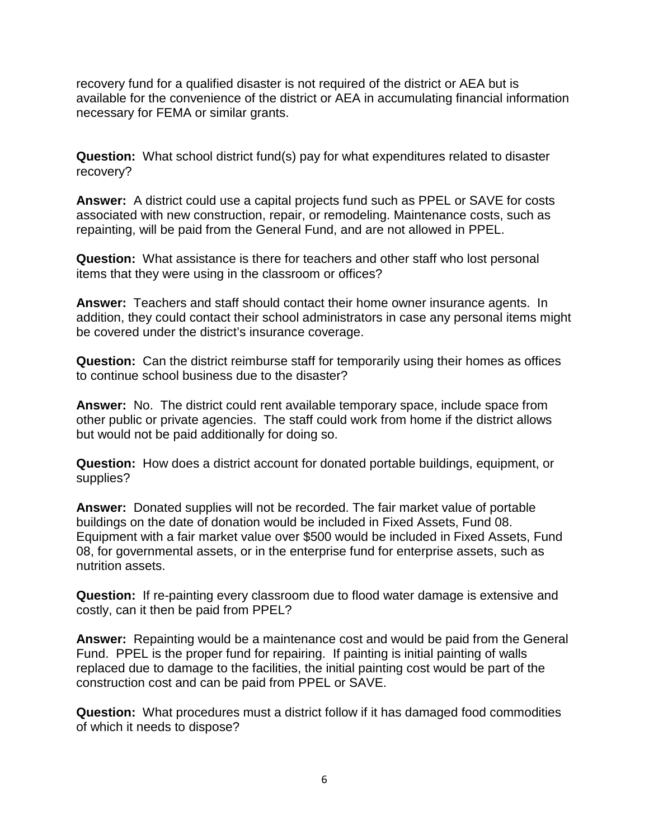recovery fund for a qualified disaster is not required of the district or AEA but is available for the convenience of the district or AEA in accumulating financial information necessary for FEMA or similar grants.

**Question:** What school district fund(s) pay for what expenditures related to disaster recovery?

**Answer:** A district could use a capital projects fund such as PPEL or SAVE for costs associated with new construction, repair, or remodeling. Maintenance costs, such as repainting, will be paid from the General Fund, and are not allowed in PPEL.

**Question:** What assistance is there for teachers and other staff who lost personal items that they were using in the classroom or offices?

**Answer:** Teachers and staff should contact their home owner insurance agents. In addition, they could contact their school administrators in case any personal items might be covered under the district's insurance coverage.

**Question:** Can the district reimburse staff for temporarily using their homes as offices to continue school business due to the disaster?

**Answer:** No. The district could rent available temporary space, include space from other public or private agencies. The staff could work from home if the district allows but would not be paid additionally for doing so.

**Question:** How does a district account for donated portable buildings, equipment, or supplies?

**Answer:** Donated supplies will not be recorded. The fair market value of portable buildings on the date of donation would be included in Fixed Assets, Fund 08. Equipment with a fair market value over \$500 would be included in Fixed Assets, Fund 08, for governmental assets, or in the enterprise fund for enterprise assets, such as nutrition assets.

**Question:** If re-painting every classroom due to flood water damage is extensive and costly, can it then be paid from PPEL?

**Answer:** Repainting would be a maintenance cost and would be paid from the General Fund. PPEL is the proper fund for repairing. If painting is initial painting of walls replaced due to damage to the facilities, the initial painting cost would be part of the construction cost and can be paid from PPEL or SAVE.

**Question:** What procedures must a district follow if it has damaged food commodities of which it needs to dispose?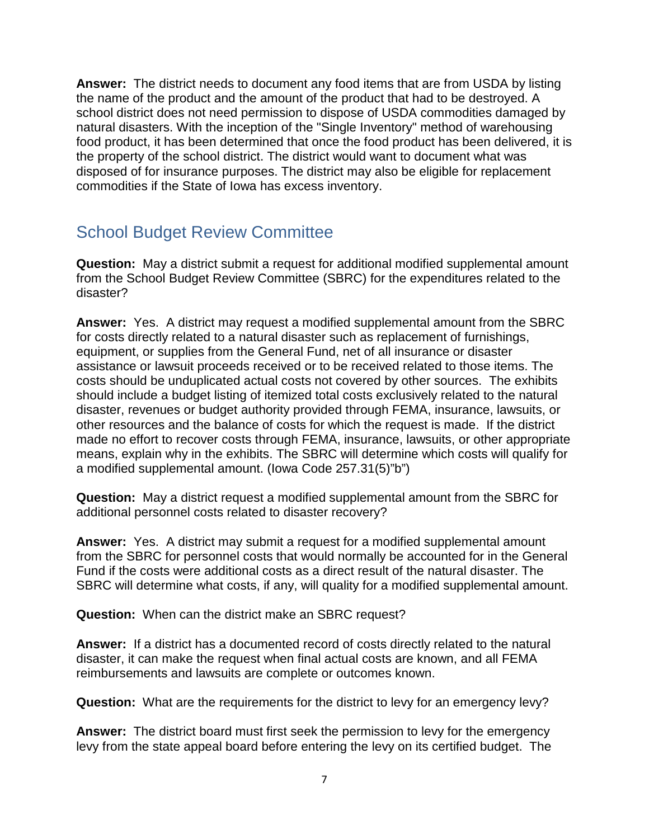**Answer:** The district needs to document any food items that are from USDA by listing the name of the product and the amount of the product that had to be destroyed. A school district does not need permission to dispose of USDA commodities damaged by natural disasters. With the inception of the "Single Inventory" method of warehousing food product, it has been determined that once the food product has been delivered, it is the property of the school district. The district would want to document what was disposed of for insurance purposes. The district may also be eligible for replacement commodities if the State of Iowa has excess inventory.

### <span id="page-6-0"></span>School Budget Review Committee

**Question:** May a district submit a request for additional modified supplemental amount from the School Budget Review Committee (SBRC) for the expenditures related to the disaster?

**Answer:** Yes.A district may request a modified supplemental amount from the SBRC for costs directly related to a natural disaster such as replacement of furnishings, equipment, or supplies from the General Fund, net of all insurance or disaster assistance or lawsuit proceeds received or to be received related to those items. The costs should be unduplicated actual costs not covered by other sources. The exhibits should include a budget listing of itemized total costs exclusively related to the natural disaster, revenues or budget authority provided through FEMA, insurance, lawsuits, or other resources and the balance of costs for which the request is made. If the district made no effort to recover costs through FEMA, insurance, lawsuits, or other appropriate means, explain why in the exhibits. The SBRC will determine which costs will qualify for a modified supplemental amount. (Iowa Code 257.31(5)"b")

**Question:** May a district request a modified supplemental amount from the SBRC for additional personnel costs related to disaster recovery?

**Answer:** Yes.A district may submit a request for a modified supplemental amount from the SBRC for personnel costs that would normally be accounted for in the General Fund if the costs were additional costs as a direct result of the natural disaster. The SBRC will determine what costs, if any, will quality for a modified supplemental amount.

**Question:** When can the district make an SBRC request?

**Answer:** If a district has a documented record of costs directly related to the natural disaster, it can make the request when final actual costs are known, and all FEMA reimbursements and lawsuits are complete or outcomes known.

**Question:** What are the requirements for the district to levy for an emergency levy?

**Answer:** The district board must first seek the permission to levy for the emergency levy from the state appeal board before entering the levy on its certified budget. The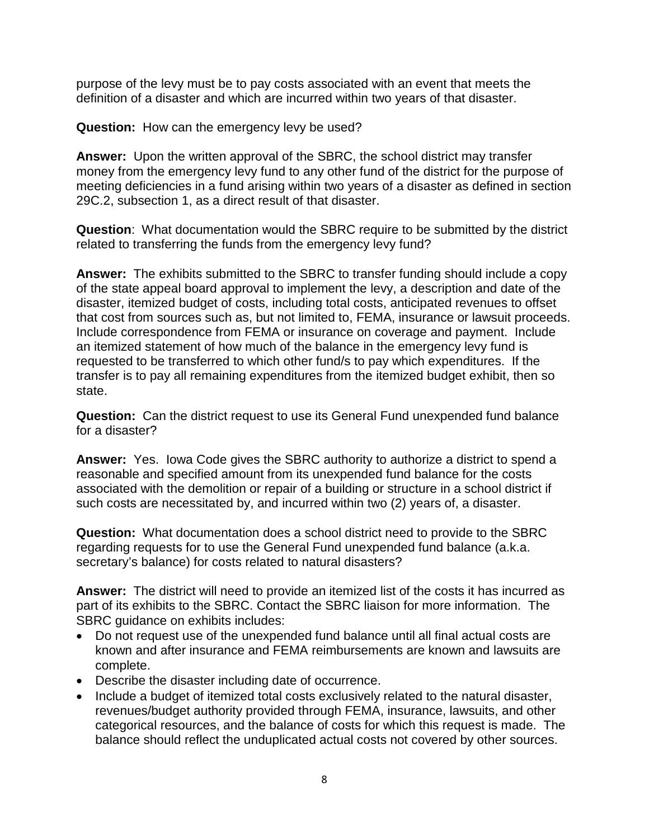purpose of the levy must be to pay costs associated with an event that meets the definition of a disaster and which are incurred within two years of that disaster.

**Question:** How can the emergency levy be used?

**Answer:** Upon the written approval of the SBRC, the school district may transfer money from the emergency levy fund to any other fund of the district for the purpose of meeting deficiencies in a fund arising within two years of a disaster as defined in section 29C.2, subsection 1, as a direct result of that disaster.

**Question**: What documentation would the SBRC require to be submitted by the district related to transferring the funds from the emergency levy fund?

**Answer:** The exhibits submitted to the SBRC to transfer funding should include a copy of the state appeal board approval to implement the levy, a description and date of the disaster, itemized budget of costs, including total costs, anticipated revenues to offset that cost from sources such as, but not limited to, FEMA, insurance or lawsuit proceeds. Include correspondence from FEMA or insurance on coverage and payment. Include an itemized statement of how much of the balance in the emergency levy fund is requested to be transferred to which other fund/s to pay which expenditures. If the transfer is to pay all remaining expenditures from the itemized budget exhibit, then so state.

**Question:** Can the district request to use its General Fund unexpended fund balance for a disaster?

**Answer:** Yes. Iowa Code gives the SBRC authority to authorize a district to spend a reasonable and specified amount from its unexpended fund balance for the costs associated with the demolition or repair of a building or structure in a school district if such costs are necessitated by, and incurred within two (2) years of, a disaster.

**Question:** What documentation does a school district need to provide to the SBRC regarding requests for to use the General Fund unexpended fund balance (a.k.a. secretary's balance) for costs related to natural disasters?

**Answer:** The district will need to provide an itemized list of the costs it has incurred as part of its exhibits to the SBRC. Contact the SBRC liaison for more information. The SBRC guidance on exhibits includes:

- Do not request use of the unexpended fund balance until all final actual costs are known and after insurance and FEMA reimbursements are known and lawsuits are complete.
- Describe the disaster including date of occurrence.
- Include a budget of itemized total costs exclusively related to the natural disaster, revenues/budget authority provided through FEMA, insurance, lawsuits, and other categorical resources, and the balance of costs for which this request is made. The balance should reflect the unduplicated actual costs not covered by other sources.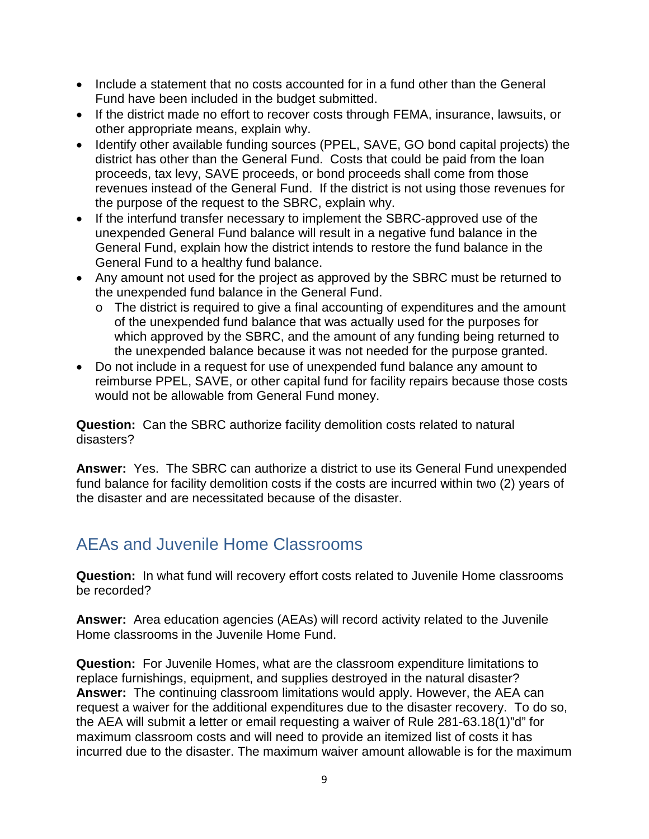- Include a statement that no costs accounted for in a fund other than the General Fund have been included in the budget submitted.
- If the district made no effort to recover costs through FEMA, insurance, lawsuits, or other appropriate means, explain why.
- Identify other available funding sources (PPEL, SAVE, GO bond capital projects) the district has other than the General Fund. Costs that could be paid from the loan proceeds, tax levy, SAVE proceeds, or bond proceeds shall come from those revenues instead of the General Fund. If the district is not using those revenues for the purpose of the request to the SBRC, explain why.
- If the interfund transfer necessary to implement the SBRC-approved use of the unexpended General Fund balance will result in a negative fund balance in the General Fund, explain how the district intends to restore the fund balance in the General Fund to a healthy fund balance.
- Any amount not used for the project as approved by the SBRC must be returned to the unexpended fund balance in the General Fund.
	- o The district is required to give a final accounting of expenditures and the amount of the unexpended fund balance that was actually used for the purposes for which approved by the SBRC, and the amount of any funding being returned to the unexpended balance because it was not needed for the purpose granted.
- Do not include in a request for use of unexpended fund balance any amount to reimburse PPEL, SAVE, or other capital fund for facility repairs because those costs would not be allowable from General Fund money.

**Question:** Can the SBRC authorize facility demolition costs related to natural disasters?

**Answer:** Yes. The SBRC can authorize a district to use its General Fund unexpended fund balance for facility demolition costs if the costs are incurred within two (2) years of the disaster and are necessitated because of the disaster.

#### <span id="page-8-0"></span>AEAs and Juvenile Home Classrooms

**Question:** In what fund will recovery effort costs related to Juvenile Home classrooms be recorded?

**Answer:** Area education agencies (AEAs) will record activity related to the Juvenile Home classrooms in the Juvenile Home Fund.

**Question:** For Juvenile Homes, what are the classroom expenditure limitations to replace furnishings, equipment, and supplies destroyed in the natural disaster? **Answer:** The continuing classroom limitations would apply. However, the AEA can request a waiver for the additional expenditures due to the disaster recovery. To do so, the AEA will submit a letter or email requesting a waiver of Rule 281-63.18(1)"d" for maximum classroom costs and will need to provide an itemized list of costs it has incurred due to the disaster. The maximum waiver amount allowable is for the maximum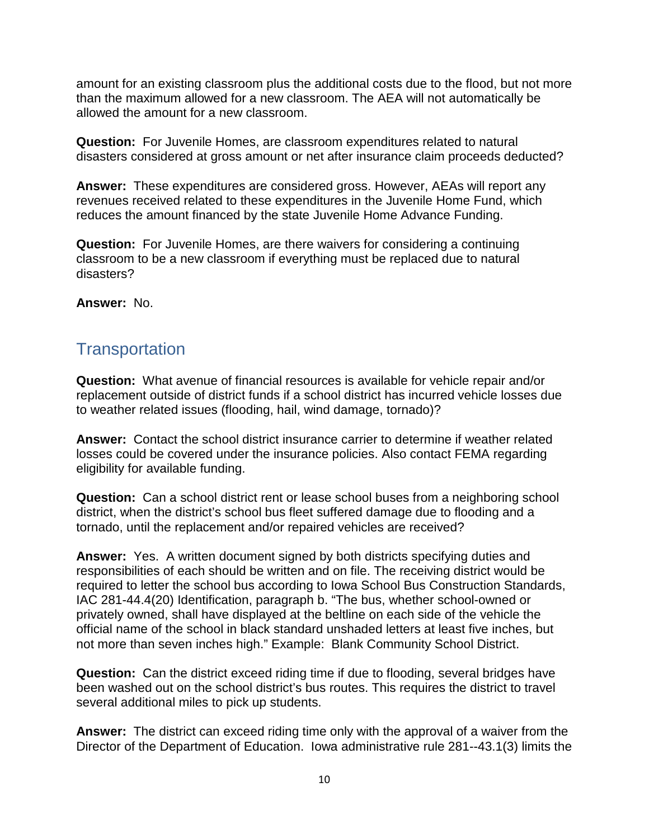amount for an existing classroom plus the additional costs due to the flood, but not more than the maximum allowed for a new classroom. The AEA will not automatically be allowed the amount for a new classroom.

**Question:** For Juvenile Homes, are classroom expenditures related to natural disasters considered at gross amount or net after insurance claim proceeds deducted?

**Answer:** These expenditures are considered gross. However, AEAs will report any revenues received related to these expenditures in the Juvenile Home Fund, which reduces the amount financed by the state Juvenile Home Advance Funding.

**Question:** For Juvenile Homes, are there waivers for considering a continuing classroom to be a new classroom if everything must be replaced due to natural disasters?

**Answer:** No.

#### <span id="page-9-0"></span>**Transportation**

**Question:** What avenue of financial resources is available for vehicle repair and/or replacement outside of district funds if a school district has incurred vehicle losses due to weather related issues (flooding, hail, wind damage, tornado)?

**Answer:** Contact the school district insurance carrier to determine if weather related losses could be covered under the insurance policies. Also contact FEMA regarding eligibility for available funding.

**Question:** Can a school district rent or lease school buses from a neighboring school district, when the district's school bus fleet suffered damage due to flooding and a tornado, until the replacement and/or repaired vehicles are received?

**Answer:** Yes. A written document signed by both districts specifying duties and responsibilities of each should be written and on file. The receiving district would be required to letter the school bus according to Iowa School Bus Construction Standards, IAC 281-44.4(20) Identification, paragraph b. "The bus, whether school-owned or privately owned, shall have displayed at the beltline on each side of the vehicle the official name of the school in black standard unshaded letters at least five inches, but not more than seven inches high." Example: Blank Community School District.

**Question:** Can the district exceed riding time if due to flooding, several bridges have been washed out on the school district's bus routes. This requires the district to travel several additional miles to pick up students.

**Answer:** The district can exceed riding time only with the approval of a waiver from the Director of the Department of Education. Iowa administrative rule 281--43.1(3) limits the